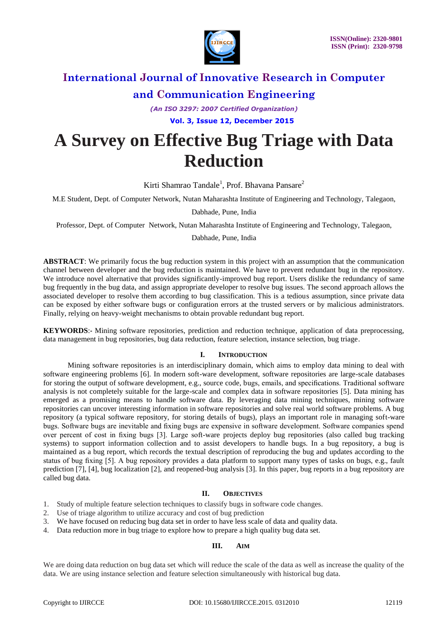

*(An ISO 3297: 2007 Certified Organization)*  **Vol. 3, Issue 12, December 2015**

# **A Survey on Effective Bug Triage with Data Reduction**

Kirti Shamrao Tandale<sup>1</sup>, Prof. Bhavana Pansare<sup>2</sup>

M.E Student, Dept. of Computer Network, Nutan Maharashta Institute of Engineering and Technology, Talegaon,

Dabhade, Pune, India

Professor, Dept. of Computer Network, Nutan Maharashta Institute of Engineering and Technology, Talegaon,

Dabhade, Pune, India

**ABSTRACT**: We primarily focus the bug reduction system in this project with an assumption that the communication channel between developer and the bug reduction is maintained. We have to prevent redundant bug in the repository. We introduce novel alternative that provides significantly-improved bug report. Users dislike the redundancy of same bug frequently in the bug data, and assign appropriate developer to resolve bug issues. The second approach allows the associated developer to resolve them according to bug classification. This is a tedious assumption, since private data can be exposed by either software bugs or configuration errors at the trusted servers or by malicious administrators. Finally, relying on heavy-weight mechanisms to obtain provable redundant bug report.

**KEYWORDS**:**-** Mining software repositories, prediction and reduction technique, application of data preprocessing, data management in bug repositories, bug data reduction, feature selection, instance selection, bug triage.

# **I. INTRODUCTION**

Mining software repositories is an interdisciplinary domain, which aims to employ data mining to deal with software engineering problems [6]. In modern soft-ware development, software repositories are large-scale databases for storing the output of software development, e.g., source code, bugs, emails, and specifications. Traditional software analysis is not completely suitable for the large-scale and complex data in software repositories [5]. Data mining has emerged as a promising means to handle software data. By leveraging data mining techniques, mining software repositories can uncover interesting information in software repositories and solve real world software problems. A bug repository (a typical software repository, for storing details of bugs), plays an important role in managing soft-ware bugs. Software bugs are inevitable and fixing bugs are expensive in software development. Software companies spend over percent of cost in fixing bugs [3]. Large soft-ware projects deploy bug repositories (also called bug tracking systems) to support information collection and to assist developers to handle bugs. In a bug repository, a bug is maintained as a bug report, which records the textual description of reproducing the bug and updates according to the status of bug fixing [5]. A bug repository provides a data platform to support many types of tasks on bugs, e.g., fault prediction [7], [4], bug localization [2], and reopened-bug analysis [3]. In this paper, bug reports in a bug repository are called bug data.

# **II. OBJECTIVES**

- 1. Study of multiple feature selection techniques to classify bugs in software code changes.
- 2. Use of triage algorithm to utilize accuracy and cost of bug prediction
- 3. We have focused on reducing bug data set in order to have less scale of data and quality data.
- 4. Data reduction more in bug triage to explore how to prepare a high quality bug data set.

#### **III. AIM**

We are doing data reduction on bug data set which will reduce the scale of the data as well as increase the quality of the data. We are using instance selection and feature selection simultaneously with historical bug data.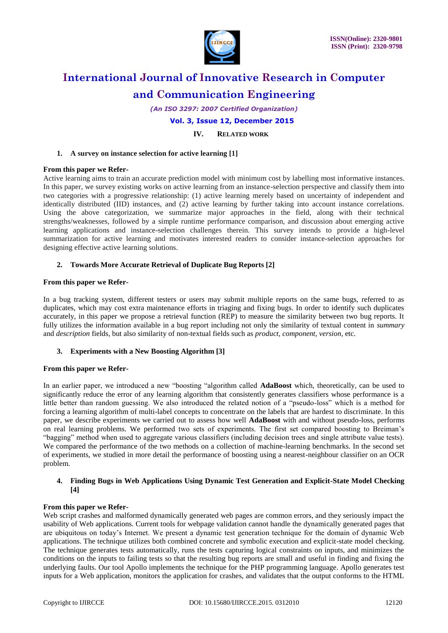

*(An ISO 3297: 2007 Certified Organization)*

 **Vol. 3, Issue 12, December 2015**

**IV. RELATED WORK**

### **1. A survey on instance selection for active learning [1]**

#### **From this paper we Refer-**

Active learning aims to train an accurate prediction model with minimum cost by labelling most informative instances. In this paper, we survey existing works on active learning from an instance-selection perspective and classify them into two categories with a progressive relationship: (1) active learning merely based on uncertainty of independent and identically distributed (IID) instances, and (2) active learning by further taking into account instance correlations. Using the above categorization, we summarize major approaches in the field, along with their technical strengths/weaknesses, followed by a simple runtime performance comparison, and discussion about emerging active learning applications and instance-selection challenges therein. This survey intends to provide a high-level summarization for active learning and motivates interested readers to consider instance-selection approaches for designing effective active learning solutions.

#### **2. Towards More Accurate Retrieval of Duplicate Bug Reports [2]**

#### **From this paper we Refer-**

In a bug tracking system, different testers or users may submit multiple reports on the same bugs, referred to as duplicates, which may cost extra maintenance efforts in triaging and fixing bugs. In order to identify such duplicates accurately, in this paper we propose a retrieval function (REP) to measure the similarity between two bug reports. It fully utilizes the information available in a bug report including not only the similarity of textual content in *summary*  and *description* fields, but also similarity of non-textual fields such as *product*, *component*, *version*, etc.

# **3. Experiments with a New Boosting Algorithm [3]**

#### **From this paper we Refer-**

In an earlier paper, we introduced a new "boosting "algorithm called **AdaBoost** which, theoretically, can be used to significantly reduce the error of any learning algorithm that consistently generates classifiers whose performance is a little better than random guessing. We also introduced the related notion of a "pseudo-loss" which is a method for forcing a learning algorithm of multi-label concepts to concentrate on the labels that are hardest to discriminate. In this paper, we describe experiments we carried out to assess how well **AdaBoost** with and without pseudo-loss, performs on real learning problems. We performed two sets of experiments. The first set compared boosting to Breiman's "bagging" method when used to aggregate various classifiers (including decision trees and single attribute value tests). We compared the performance of the two methods on a collection of machine-learning benchmarks. In the second set of experiments, we studied in more detail the performance of boosting using a nearest-neighbour classifier on an OCR problem.

#### **4. Finding Bugs in Web Applications Using Dynamic Test Generation and Explicit-State Model Checking [4]**

#### **From this paper we Refer-**

Web script crashes and malformed dynamically generated web pages are common errors, and they seriously impact the usability of Web applications. Current tools for webpage validation cannot handle the dynamically generated pages that are ubiquitous on today's Internet. We present a dynamic test generation technique for the domain of dynamic Web applications. The technique utilizes both combined concrete and symbolic execution and explicit-state model checking. The technique generates tests automatically, runs the tests capturing logical constraints on inputs, and minimizes the conditions on the inputs to failing tests so that the resulting bug reports are small and useful in finding and fixing the underlying faults. Our tool Apollo implements the technique for the PHP programming language. Apollo generates test inputs for a Web application, monitors the application for crashes, and validates that the output conforms to the HTML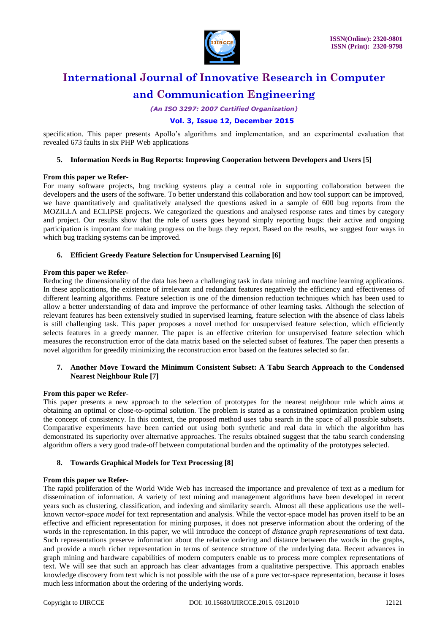

*(An ISO 3297: 2007 Certified Organization)*

# **Vol. 3, Issue 12, December 2015**

specification. This paper presents Apollo's algorithms and implementation, and an experimental evaluation that revealed 673 faults in six PHP Web applications

### **5. Information Needs in Bug Reports: Improving Cooperation between Developers and Users [5]**

#### **From this paper we Refer-**

For many software projects, bug tracking systems play a central role in supporting collaboration between the developers and the users of the software. To better understand this collaboration and how tool support can be improved, we have quantitatively and qualitatively analysed the questions asked in a sample of 600 bug reports from the MOZILLA and ECLIPSE projects. We categorized the questions and analysed response rates and times by category and project. Our results show that the role of users goes beyond simply reporting bugs: their active and ongoing participation is important for making progress on the bugs they report. Based on the results, we suggest four ways in which bug tracking systems can be improved.

# **6. Efficient Greedy Feature Selection for Unsupervised Learning [6]**

#### **From this paper we Refer-**

Reducing the dimensionality of the data has been a challenging task in data mining and machine learning applications. In these applications, the existence of irrelevant and redundant features negatively the efficiency and effectiveness of different learning algorithms. Feature selection is one of the dimension reduction techniques which has been used to allow a better understanding of data and improve the performance of other learning tasks. Although the selection of relevant features has been extensively studied in supervised learning, feature selection with the absence of class labels is still challenging task. This paper proposes a novel method for unsupervised feature selection, which efficiently selects features in a greedy manner. The paper is an effective criterion for unsupervised feature selection which measures the reconstruction error of the data matrix based on the selected subset of features. The paper then presents a novel algorithm for greedily minimizing the reconstruction error based on the features selected so far.

# **7. Another Move Toward the Minimum Consistent Subset: A Tabu Search Approach to the Condensed Nearest Neighbour Rule [7]**

# **From this paper we Refer-**

This paper presents a new approach to the selection of prototypes for the nearest neighbour rule which aims at obtaining an optimal or close-to-optimal solution. The problem is stated as a constrained optimization problem using the concept of consistency. In this context, the proposed method uses tabu search in the space of all possible subsets. Comparative experiments have been carried out using both synthetic and real data in which the algorithm has demonstrated its superiority over alternative approaches. The results obtained suggest that the tabu search condensing algorithm offers a very good trade-off between computational burden and the optimality of the prototypes selected.

# **8. Towards Graphical Models for Text Processing [8]**

#### **From this paper we Refer-**

The rapid proliferation of the World Wide Web has increased the importance and prevalence of text as a medium for dissemination of information. A variety of text mining and management algorithms have been developed in recent years such as clustering, classification, and indexing and similarity search. Almost all these applications use the wellknown *vector-space model* for text representation and analysis. While the vector-space model has proven itself to be an effective and efficient representation for mining purposes, it does not preserve information about the ordering of the words in the representation. In this paper, we will introduce the concept of *distance graph representations* of text data. Such representations preserve information about the relative ordering and distance between the words in the graphs, and provide a much richer representation in terms of sentence structure of the underlying data. Recent advances in graph mining and hardware capabilities of modern computers enable us to process more complex representations of text. We will see that such an approach has clear advantages from a qualitative perspective. This approach enables knowledge discovery from text which is not possible with the use of a pure vector-space representation, because it loses much less information about the ordering of the underlying words.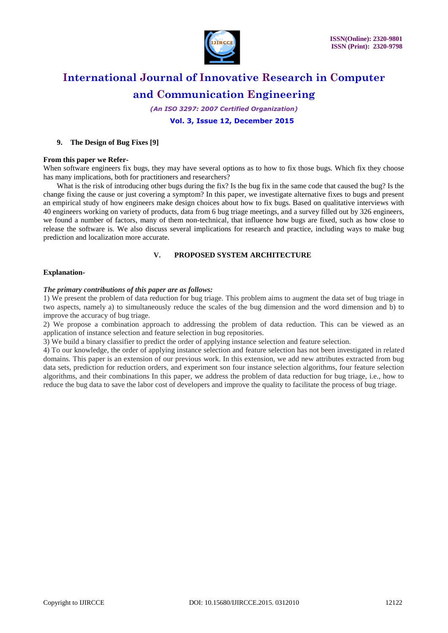

*(An ISO 3297: 2007 Certified Organization)*

 **Vol. 3, Issue 12, December 2015**

### **9. The Design of Bug Fixes [9]**

#### **From this paper we Refer-**

When software engineers fix bugs, they may have several options as to how to fix those bugs. Which fix they choose has many implications, both for practitioners and researchers?

What is the risk of introducing other bugs during the fix? Is the bug fix in the same code that caused the bug? Is the change fixing the cause or just covering a symptom? In this paper, we investigate alternative fixes to bugs and present an empirical study of how engineers make design choices about how to fix bugs. Based on qualitative interviews with 40 engineers working on variety of products, data from 6 bug triage meetings, and a survey filled out by 326 engineers, we found a number of factors, many of them non-technical, that influence how bugs are fixed, such as how close to release the software is. We also discuss several implications for research and practice, including ways to make bug prediction and localization more accurate.

# **V. PROPOSED SYSTEM ARCHITECTURE**

#### **Explanation-**

#### *The primary contributions of this paper are as follows:*

1) We present the problem of data reduction for bug triage. This problem aims to augment the data set of bug triage in two aspects, namely a) to simultaneously reduce the scales of the bug dimension and the word dimension and b) to improve the accuracy of bug triage.

2) We propose a combination approach to addressing the problem of data reduction. This can be viewed as an application of instance selection and feature selection in bug repositories.

3) We build a binary classifier to predict the order of applying instance selection and feature selection.

4) To our knowledge, the order of applying instance selection and feature selection has not been investigated in related domains. This paper is an extension of our previous work. In this extension, we add new attributes extracted from bug data sets, prediction for reduction orders, and experiment son four instance selection algorithms, four feature selection algorithms, and their combinations In this paper, we address the problem of data reduction for bug triage, i.e., how to reduce the bug data to save the labor cost of developers and improve the quality to facilitate the process of bug triage.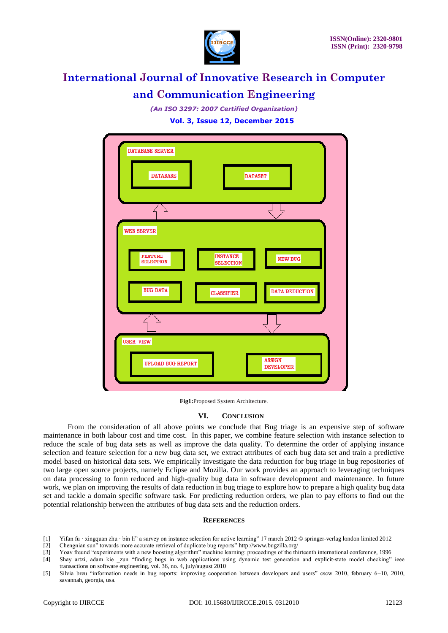

*(An ISO 3297: 2007 Certified Organization)*

 **Vol. 3, Issue 12, December 2015**



**Fig1:**Proposed System Architecture.

# **VI. CONCLUSION**

From the consideration of all above points we conclude that Bug triage is an expensive step of software maintenance in both labour cost and time cost. In this paper, we combine feature selection with instance selection to reduce the scale of bug data sets as well as improve the data quality. To determine the order of applying instance selection and feature selection for a new bug data set, we extract attributes of each bug data set and train a predictive model based on historical data sets. We empirically investigate the data reduction for bug triage in bug repositories of two large open source projects, namely Eclipse and Mozilla. Our work provides an approach to leveraging techniques on data processing to form reduced and high-quality bug data in software development and maintenance. In future work, we plan on improving the results of data reduction in bug triage to explore how to prepare a high quality bug data set and tackle a domain specific software task. For predicting reduction orders, we plan to pay efforts to find out the potential relationship between the attributes of bug data sets and the reduction orders.

#### **REFERENCES**

- [1] Yifan fu · xingquan zhu · bin li" a survey on instance selection for active learning" 17 march 2012 © springer-verlag london limited 2012
- [2] Chengnian sun" towards more accurate retrieval of duplicate bug reports" http://www.bugzilla.org/
- [3] Yoav freund "experiments with a new boosting algorithm" machine learning: proceedings of the thirteenth international conference, 1996 [4] Shay artzi, adam kie zun "finding bugs in web applications using dynamic test generation and explicit-state model checking" ieee
- transactions on software engineering, vol. 36, no. 4, july/august 2010 [5] Silvia breu "information needs in bug reports: improving cooperation between developers and users" cscw 2010, february 6-10, 2010, savannah, georgia, usa.